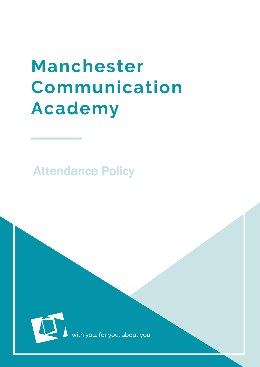# Manchester Communication **Academy**

Attendance Policy



with you, for you, about you.

MCA  $\sim$  100  $\mu$  m  $\sim$  100  $\mu$  m  $\sim$  100  $\mu$  m  $\sim$  100  $\mu$  m  $\sim$  100  $\mu$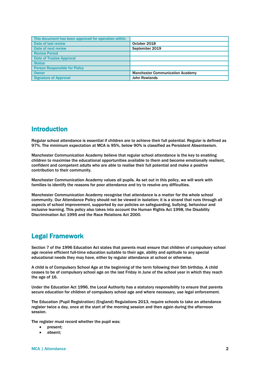| This document has been approved for operation within |                                         |
|------------------------------------------------------|-----------------------------------------|
| Date of last review                                  | October 2018                            |
| Date of next review                                  | September 2019                          |
| <b>Review Period</b>                                 |                                         |
| <b>Date of Trustee Approval</b>                      |                                         |
| <b>Status</b>                                        |                                         |
| <b>Person Responsible for Policy</b>                 |                                         |
| <b>Owner</b>                                         | <b>Manchester Communication Academy</b> |
| <b>Signature of Approval</b>                         | <b>John Rowlands</b>                    |

## Introduction

Regular school attendance is essential if children are to achieve their full potential. Regular is defined as 97%. The minimum expectation at MCA is 95%, below 90% is classified as Persistent Absenteeism.

Manchester Communication Academy believe that regular school attendance is the key to enabling children to maximise the educational opportunities available to them and become emotionally resilient, confident and competent adults who are able to realise their full potential and make a positive contribution to their community.

Manchester Communication Academy values all pupils. As set out in this policy, we will work with families to identify the reasons for poor attendance and try to resolve any difficulties.

Manchester Communication Academy recognise that attendance is a matter for the whole school community. Our Attendance Policy should not be viewed in isolation; it is a strand that runs through all aspects of school improvement, supported by our policies on safeguarding, bullying, behaviour and inclusive learning. This policy also takes into account the Human Rights Act 1998, the Disability Discrimination Act 1995 and the Race Relations Act 2000.

## Legal Framework

Section 7 of the 1996 Education Act states that parents must ensure that children of compulsory school age receive efficient full-time education suitable to their age, ability and aptitude to any special educational needs they may have, either by regular attendance at school or otherwise.

A child is of Compulsory School Age at the beginning of the term following their 5th birthday. A child ceases to be of compulsory school age on the last Friday in June of the school year in which they reach the age of 16.

Under the Education Act 1996, the Local Authority has a statutory responsibility to ensure that parents secure education for children of compulsory school age and where necessary, use legal enforcement.

The Education (Pupil Registration) (England) Regulations 2013, require schools to take an attendance register twice a day, once at the start of the morning session and then again during the afternoon session.

The register must record whether the pupil was:

- present;
- absent;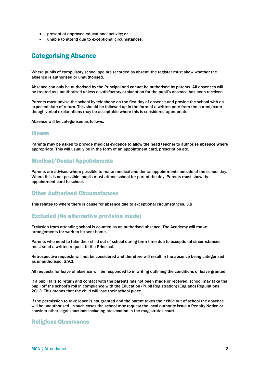- present at approved educational activity; or
- unable to attend due to exceptional circumstances.

# Categorising Absence

Where pupils of compulsory school age are recorded as absent, the register must show whether the absence is authorised or unauthorised.

Absence can only be authorised by the Principal and cannot be authorised by parents. All absences will be treated as unauthorised unless a satisfactory explanation for the pupil's absence has been received.

Parents must advise the school by telephone on the first day of absence and provide the school with an expected date of return. This should be followed up in the form of a written note from the parent/carer, though verbal explanations may be acceptable where this is considered appropriate.

Absence will be categorised as follows:

#### Illness

Parents may be asked to provide medical evidence to allow the head teacher to authorise absence where appropriate. This will usually be in the form of an appointment card, prescription etc.

## Medical/Dental Appointments

Parents are advised where possible to make medical and dental appointments outside of the school day. Where this is not possible, pupils must attend school for part of the day. Parents must show the appointment card to school.

#### Other Authorised Circumstances

This relates to where there is cause for absence due to exceptional circumstances. 3.8

## Excluded (No alternative provision made)

Exclusion from attending school is counted as an authorised absence. The Academy will make arrangements for work to be sent home.

Parents who need to take their child out of school during term time due to exceptional circumstances must send a written request to the Principal.

Retrospective requests will not be considered and therefore will result in the absence being categorised as unauthorised. 3.9.1

All requests for leave of absence will be responded to in writing outlining the conditions of leave granted.

If a pupil fails to return and contact with the parents has not been made or received, school may take the pupil off the school's roll in compliance with the Education (Pupil Registration) (England) Regulations 2013. This means that the child will lose their school place.

If the permission to take leave is not granted and the parent takes their child out of school the absence will be unauthorised. In such cases the school may request the local authority issue a Penalty Notice or consider other legal sanctions including prosecution in the magistrates court.

#### Religious Observance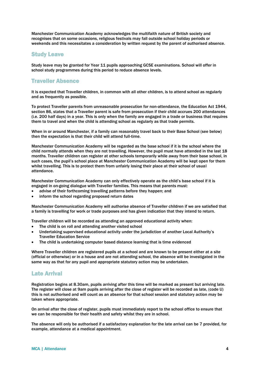Manchester Communication Academy acknowledges the multifaith nature of British society and recognises that on some occasions, religious festivals may fall outside school holiday periods or weekends and this necessitates a consideration by written request by the parent of authorised absence.

#### Study Leave

Study leave may be granted for Year 11 pupils approaching GCSE examinations. School will offer in school study programmes during this period to reduce absence levels.

## Traveller Absence

It is expected that Traveller children, in common with all other children, is to attend school as regularly and as frequently as possible.

To protect Traveller parents from unreasonable prosecution for non-attendance, the Education Act 1944, section 86, states that a Traveller parent is safe from prosecution if their child accrues 200 attendances (i.e. 200 half days) in a year. This is only when the family are engaged in a trade or business that requires them to travel and when the child is attending school as regularly as that trade permits.

When in or around Manchester, if a family can reasonably travel back to their Base School (see below) then the expectation is that their child will attend full-time.

Manchester Communication Academy will be regarded as the base school if it is the school where the child normally attends when they are not travelling. However, the pupil must have attended in the last 18 months. Traveller children can register at other schools temporarily while away from their base school, in such cases, the pupil's school place at Manchester Communication Academy will be kept open for them whilst travelling. This is to protect them from unfairly losing their place at their school of usual attendance.

Manchester Communication Academy can only effectively operate as the child's base school if it is engaged in on-going dialogue with Traveller families. This means that parents must:

- advise of their forthcoming travelling patterns before they happen; and
- inform the school regarding proposed return dates

Manchester Communication Academy will authorise absence of Traveller children if we are satisfied that a family is travelling for work or trade purposes and has given indication that they intend to return.

Traveller children will be recorded as attending an approved educational activity when:

- The child is on roll and attending another visited school
- Undertaking supervised educational activity under the jurisdiction of another Local Authority's Traveller Education Service
- The child is undertaking computer based distance learning that is time evidenced

Where Traveller children are registered pupils at a school and are known to be present either at a site (official or otherwise) or in a house and are not attending school, the absence will be investigated in the same way as that for any pupil and appropriate statutory action may be undertaken.

## Late Arrival

Registration begins at 8.30am, pupils arriving after this time will be marked as present but arriving late. The register will close at 9am pupils arriving after the close of register will be recorded as late, (code U) this is not authorised and will count as an absence for that school session and statutory action may be taken where appropriate.

On arrival after the close of register, pupils must immediately report to the school office to ensure that we can be responsible for their health and safety whilst they are in school.

The absence will only be authorised if a satisfactory explanation for the late arrival can be 7 provided, for example, attendance at a medical appointment.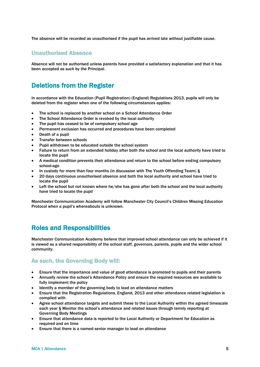The absence will be recorded as unauthorised if the pupil has arrived late without justifiable cause.

#### Unauthorised Absence

Absence will not be authorised unless parents have provided a satisfactory explanation and that it has been accepted as such by the Principal.

# Deletions from the Register

In accordance with the Education (Pupil Registration) (England) Regulations 2013, pupils will only be deleted from the register when one of the following circumstances applies:

- The school is replaced by another school on a School Attendance Order
- The School Attendance Order is revoked by the local authority
- The pupil has ceased to be of compulsory school age
- Permanent exclusion has occurred and procedures have been completed
- Death of a pupil
- Transfer between schools
- Pupil withdrawn to be educated outside the school system
- Failure to return from an extended holiday after both the school and the local authority have tried to locate the pupil
- A medical condition prevents their attendance and return to the school before ending compulsory school-age
- In custody for more than four months (in discussion with The Youth Offending Team) §
- 20 days continuous unauthorised absence and both the local authority and school have tried to locate the pupil
- Left the school but not known where he/she has gone after both the school and the local authority have tried to locate the pupil

Manchester Communication Academy will follow Manchester City Council's Children Missing Education Protocol when a pupil's whereabouts is unknown.

# Roles and Responsibilities

Manchester Communication Academy believe that improved school attendance can only be achieved if it is viewed as a shared responsibility of the school staff, governors, parents, pupils and the wider school community.

## As such, the Governing Body will:

- Ensure that the importance and value of good attendance is promoted to pupils and their parents
- Annually review the school's Attendance Policy and ensure the required resources are available to fully implement the policy
- Identify a member of the governing body to lead on attendance matters
- Ensure that the Registration Regulations, England, 2013 and other attendance related legislation is complied with
- Agree school attendance targets and submit these to the Local Authority within the agreed timescale each year § Monitor the school's attendance and related issues through termly reporting at Governing Body Meetings
- Ensure that attendance data is reported to the Local Authority or Department for Education as required and on time
- Ensure that there is a named senior manager to lead on attendance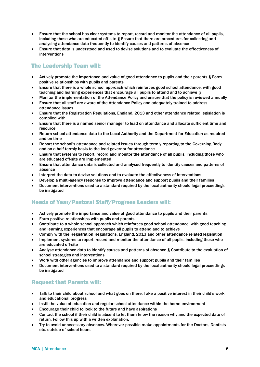- Ensure that the school has clear systems to report, record and monitor the attendance of all pupils, including those who are educated off-site § Ensure that there are procedures for collecting and analysing attendance data frequently to identify causes and patterns of absence
- Ensure that data is understood and used to devise solutions and to evaluate the effectiveness of interventions

## The Leadership Team will:

- Actively promote the importance and value of good attendance to pupils and their parents § Form positive relationships with pupils and parents
- Ensure that there is a whole school approach which reinforces good school attendance; with good teaching and learning experiences that encourage all pupils to attend and to achieve §
- Monitor the implementation of the Attendance Policy and ensure that the policy is reviewed annually
- Ensure that all staff are aware of the Attendance Policy and adequately trained to address attendance issues
- Ensure that the Registration Regulations, England, 2013 and other attendance related legislation is complied with
- Ensure that there is a named senior manager to lead on attendance and allocate sufficient time and resource
- Return school attendance data to the Local Authority and the Department for Education as required and on time
- Report the school's attendance and related issues through termly reporting to the Governing Body and on a half termly basis to the lead governor for attendance
- Ensure that systems to report, record and monitor the attendance of all pupils, including those who are educated off-site are implemented
- Ensure that attendance data is collected and analysed frequently to identify causes and patterns of absence
- Interpret the data to devise solutions and to evaluate the effectiveness of interventions
- Develop a multi-agency response to improve attendance and support pupils and their families
- Document interventions used to a standard required by the local authority should legal proceedings be instigated

## Heads of Year/Pastoral Staff/Progress Leaders will:

- Actively promote the importance and value of good attendance to pupils and their parents
- Form positive relationships with pupils and parents
- Contribute to a whole school approach which reinforces good school attendance; with good teaching and learning experiences that encourage all pupils to attend and to achieve
- Comply with the Registration Regulations, England, 2013 and other attendance related legislation
- Implement systems to report, record and monitor the attendance of all pupils, including those who are educated off-site
- Analyse attendance data to identify causes and patterns of absence § Contribute to the evaluation of school strategies and interventions
- Work with other agencies to improve attendance and support pupils and their families
- Document interventions used to a standard required by the local authority should legal proceedings be instigated

## Request that Parents will:

- Talk to their child about school and what goes on there. Take a positive interest in their child's work and educational progress
- Instil the value of education and regular school attendance within the home environment
- Encourage their child to look to the future and have aspirations
- Contact the school if their child is absent to let them know the reason why and the expected date of return. Follow this up with a written explanation.
- Try to avoid unnecessary absences. Wherever possible make appointments for the Doctors, Dentists etc. outside of school hours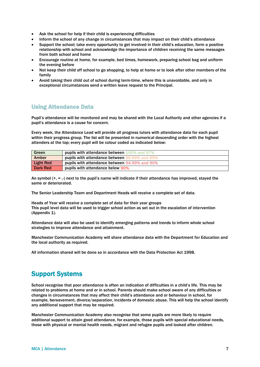- Ask the school for help if their child is experiencing difficulties
- Inform the school of any change in circumstances that may impact on their child's attendance
- Support the school; take every opportunity to get involved in their child's education, form a positive relationship with school and acknowledge the importance of children receiving the same messages from both school and home
- Encourage routine at home, for example, bed times, homework, preparing school bag and uniform the evening before
- Not keep their child off school to go shopping, to help at home or to look after other members of the family
- Avoid taking their child out of school during term-time, where this is unavoidable, and only in exceptional circumstances send a written leave request to the Principal.

## Using Attendance Data

Pupil's attendance will be monitored and may be shared with the Local Authority and other agencies if a pupil's attendance is a cause for concern.

Every week, the Attendance Lead will provide all progress tutors with attendance data for each pupil within their progress group. The list will be presented in numerical descending order with the highest attenders at the top; every pupil will be colour coded as indicated below:

| Green            | pupils with attendance between 100% and 97%             |
|------------------|---------------------------------------------------------|
| Amber            | pupils with attendance between S<br>$\sim$ yy% and 9.5% |
| <b>Light Red</b> | pupils with attendance between 94.99% and 90%           |
| <b>Dark Red</b>  | pupils with attendance below 90%                        |

An symbol  $(+, =, -)$  next to the pupil's name will indicate if their attendance has improved, stayed the same or deteriorated.

The Senior Leadership Team and Department Heads will receive a complete set of data.

Heads of Year will receive a complete set of data for their year groups This pupil level data will be used to trigger school action as set out in the escalation of intervention (Appendix 1).

Attendance data will also be used to identify emerging patterns and trends to inform whole school strategies to improve attendance and attainment.

Manchester Communication Academy will share attendance data with the Department for Education and the local authority as required.

All information shared will be done so in accordance with the Data Protection Act 1998.

## Support Systems

School recognise that poor attendance is often an indication of difficulties in a child's life. This may be related to problems at home and or in school. Parents should make school aware of any difficulties or changes in circumstances that may affect their child's attendance and or behaviour in school, for example, bereavement, divorce/separation, incidents of domestic abuse. This will help the school identify any additional support that may be required.

Manchester Communication Academy also recognise that some pupils are more likely to require additional support to attain good attendance, for example, those pupils with special educational needs, those with physical or mental health needs, migrant and refugee pupils and looked after children.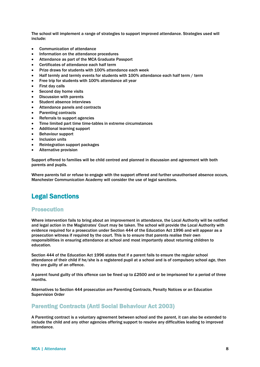The school will implement a range of strategies to support improved attendance. Strategies used will include:

- Communication of attendance
- Information on the attendance procedures
- Attendance as part of the MCA Graduate Passport
- Certificates of attendance each half term
- Prize draws for students with 100% attendance each week
- Half termly and termly events for students with 100% attendance each half term / term
- Free trip for students with 100% attendance all year
- First day calls
- Second day home visits
- Discussion with parents
- Student absence interviews
- Attendance panels and contracts
- Parenting contracts
- Referrals to support agencies
- Time limited part time time-tables in extreme circumstances
- Additional learning support
- Behaviour support
- Inclusion units
- Reintegration support packages
- Alternative provision

Support offered to families will be child centred and planned in discussion and agreement with both parents and pupils.

Where parents fail or refuse to engage with the support offered and further unauthorised absence occurs, Manchester Communication Academy will consider the use of legal sanctions.

# Legal Sanctions

#### Prosecution

Where intervention fails to bring about an improvement in attendance, the Local Authority will be notified and legal action in the Magistrates' Court may be taken. The school will provide the Local Authority with evidence required for a prosecution under Section 444 of the Education Act 1996 and will appear as a prosecution witness if required by the court. This is to ensure that parents realise their own responsibilities in ensuring attendance at school and most importantly about returning children to education.

Section 444 of the Education Act 1996 states that if a parent fails to ensure the regular school attendance of their child if he/she is a registered pupil at a school and is of compulsory school age, then they are guilty of an offence.

A parent found guilty of this offence can be fined up to £2500 and or be imprisoned for a period of three months.

Alternatives to Section 444 prosecution are Parenting Contracts, Penalty Notices or an Education Supervision Order

## Parenting Contracts (Anti Social Behaviour Act 2003)

A Parenting contract is a voluntary agreement between school and the parent, it can also be extended to include the child and any other agencies offering support to resolve any difficulties leading to improved attendance.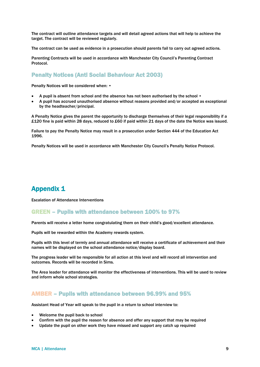The contract will outline attendance targets and will detail agreed actions that will help to achieve the target. The contract will be reviewed regularly.

The contract can be used as evidence in a prosecution should parents fail to carry out agreed actions.

Parenting Contracts will be used in accordance with Manchester City Council's Parenting Contract Protocol.

## Penalty Notices (Anti Social Behaviour Act 2003)

Penalty Notices will be considered when: •

- A pupil is absent from school and the absence has not been authorised by the school  $\bullet$
- A pupil has accrued unauthorised absence without reasons provided and/or accepted as exceptional by the headteacher/principal.

A Penalty Notice gives the parent the opportunity to discharge themselves of their legal responsibility if a £120 fine is paid within 28 days, reduced to £60 if paid within 21 days of the date the Notice was issued.

Failure to pay the Penalty Notice may result in a prosecution under Section 444 of the Education Act 1996.

Penalty Notices will be used in accordance with Manchester City Council's Penalty Notice Protocol.

# Appendix 1

Escalation of Attendance Interventions

## GREEN – Pupils with attendance between 100% to 97%

Parents will receive a letter home congratulating them on their child's good/excellent attendance.

Pupils will be rewarded within the Academy rewards system.

Pupils with this level of termly and annual attendance will receive a certificate of achievement and their names will be displayed on the school attendance notice/display board.

The progress leader will be responsible for all action at this level and will record all intervention and outcomes. Records will be recorded in Sims.

The Area leader for attendance will monitor the effectiveness of interventions. This will be used to review and inform whole school strategies.

#### AMBER – Pupils with attendance between 96.99% and 95%

Assistant Head of Year will speak to the pupil in a return to school interview to:

- Welcome the pupil back to school
- Confirm with the pupil the reason for absence and offer any support that may be required
- Update the pupil on other work they have missed and support any catch up required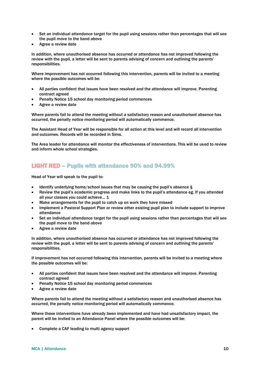- Set an individual attendance target for the pupil using sessions rather than percentages that will see the pupil move to the band above
- Agree a review date

In addition, where unauthorised absence has occurred or attendance has not improved following the review with the pupil, a letter will be sent to parents advising of concern and outlining the parents' responsibilities.

Where improvement has not occurred following this intervention, parents will be invited to a meeting where the possible outcomes will be:

- All parties confident that issues have been resolved and the attendance will improve. Parenting contract agreed
- Penalty Notice 15 school day monitoring period commences
- Agree a review date

Where parents fail to attend the meeting without a satisfactory reason and unauthorised absence has occurred, the penalty notice monitoring period will automatically commence.

The Assistant Head of Year will be responsible for all action at this level and will record all intervention and outcomes. Records will be recorded in Sims.

The Area leader for attendance will monitor the effectiveness of interventions. This will be used to review and inform whole school strategies.

## LIGHT RED – Pupils with attendance 90% and 94.99%

Head of Year will speak to the pupil to:

- Identify underlying home/school issues that may be causing the pupil's absence §
- Review the pupil's academic progress and make links to the pupil's attendance eg. If you attended all your classes you could achieve... 1
- Make arrangements for the pupil to catch up on work they have missed
- Implement a Pastoral Support Plan or review other existing pupil plan to include support to improve attendance
- Set an individual attendance target for the pupil using sessions rather than percentages that will see the pupil move to the band above
- Agree a review date

In addition, where unauthorised absence has occurred or attendance has not improved following the review with the pupil, a letter will be sent to parents advising of concern and outlining the parents' responsibilities.

If improvement has not occurred following this intervention, parents will be invited to a meeting where the possible outcomes will be:

- All parties confident that issues have been resolved and the attendance will improve. Parenting contract agreed
- Penalty Notice 15 school day monitoring period commences
- Agree a review date

Where parents fail to attend the meeting without a satisfactory reason and unauthorised absence has occurred, the penalty notice monitoring period will automatically commence.

Where these interventions have already been implemented and have had unsatisfactory impact, the parent will be invited to an Attendance Panel where the possible outcomes will be:

Complete a CAF leading to multi agency support